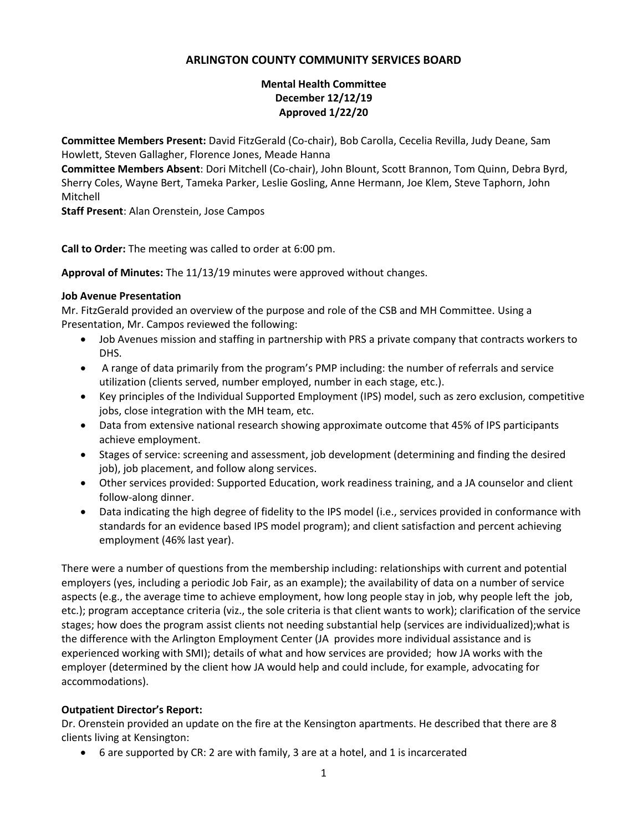# **ARLINGTON COUNTY COMMUNITY SERVICES BOARD**

#### **Mental Health Committee December 12/12/19 Approved 1/22/20**

**Committee Members Present:** David FitzGerald (Co-chair), Bob Carolla, Cecelia Revilla, Judy Deane, Sam Howlett, Steven Gallagher, Florence Jones, Meade Hanna

**Committee Members Absent**: Dori Mitchell (Co-chair), John Blount, Scott Brannon, Tom Quinn, Debra Byrd, Sherry Coles, Wayne Bert, Tameka Parker, Leslie Gosling, Anne Hermann, Joe Klem, Steve Taphorn, John Mitchell

**Staff Present**: Alan Orenstein, Jose Campos

**Call to Order:** The meeting was called to order at 6:00 pm.

**Approval of Minutes:** The 11/13/19 minutes were approved without changes.

#### **Job Avenue Presentation**

Mr. FitzGerald provided an overview of the purpose and role of the CSB and MH Committee. Using a Presentation, Mr. Campos reviewed the following:

- Job Avenues mission and staffing in partnership with PRS a private company that contracts workers to DHS.
- A range of data primarily from the program's PMP including: the number of referrals and service utilization (clients served, number employed, number in each stage, etc.).
- Key principles of the Individual Supported Employment (IPS) model, such as zero exclusion, competitive jobs, close integration with the MH team, etc.
- Data from extensive national research showing approximate outcome that 45% of IPS participants achieve employment.
- Stages of service: screening and assessment, job development (determining and finding the desired job), job placement, and follow along services.
- Other services provided: Supported Education, work readiness training, and a JA counselor and client follow-along dinner.
- Data indicating the high degree of fidelity to the IPS model (i.e., services provided in conformance with standards for an evidence based IPS model program); and client satisfaction and percent achieving employment (46% last year).

There were a number of questions from the membership including: relationships with current and potential employers (yes, including a periodic Job Fair, as an example); the availability of data on a number of service aspects (e.g., the average time to achieve employment, how long people stay in job, why people left the job, etc.); program acceptance criteria (viz., the sole criteria is that client wants to work); clarification of the service stages; how does the program assist clients not needing substantial help (services are individualized);what is the difference with the Arlington Employment Center (JA provides more individual assistance and is experienced working with SMI); details of what and how services are provided; how JA works with the employer (determined by the client how JA would help and could include, for example, advocating for accommodations).

# **Outpatient Director's Report:**

Dr. Orenstein provided an update on the fire at the Kensington apartments. He described that there are 8 clients living at Kensington:

• 6 are supported by CR: 2 are with family, 3 are at a hotel, and 1 is incarcerated